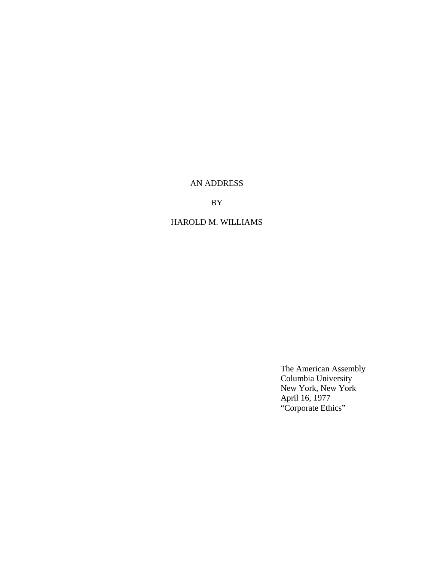## AN ADDRESS

## BY

## HAROLD M. WILLIAMS

The American Assembly Columbia University New York, New York April 16, 1977 "Corporate Ethics"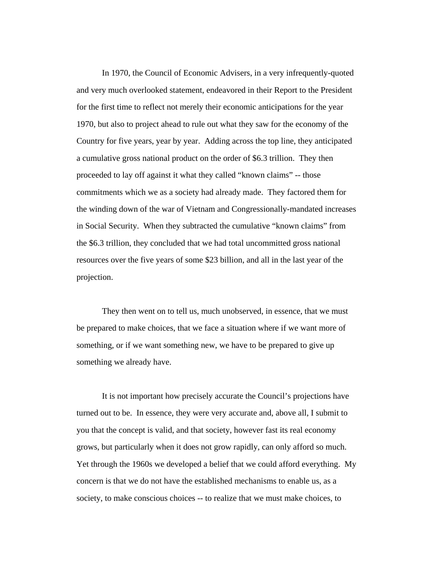In 1970, the Council of Economic Advisers, in a very infrequently-quoted and very much overlooked statement, endeavored in their Report to the President for the first time to reflect not merely their economic anticipations for the year 1970, but also to project ahead to rule out what they saw for the economy of the Country for five years, year by year. Adding across the top line, they anticipated a cumulative gross national product on the order of \$6.3 trillion. They then proceeded to lay off against it what they called "known claims" -- those commitments which we as a society had already made. They factored them for the winding down of the war of Vietnam and Congressionally-mandated increases in Social Security. When they subtracted the cumulative "known claims" from the \$6.3 trillion, they concluded that we had total uncommitted gross national resources over the five years of some \$23 billion, and all in the last year of the projection.

 They then went on to tell us, much unobserved, in essence, that we must be prepared to make choices, that we face a situation where if we want more of something, or if we want something new, we have to be prepared to give up something we already have.

 It is not important how precisely accurate the Council's projections have turned out to be. In essence, they were very accurate and, above all, I submit to you that the concept is valid, and that society, however fast its real economy grows, but particularly when it does not grow rapidly, can only afford so much. Yet through the 1960s we developed a belief that we could afford everything. My concern is that we do not have the established mechanisms to enable us, as a society, to make conscious choices -- to realize that we must make choices, to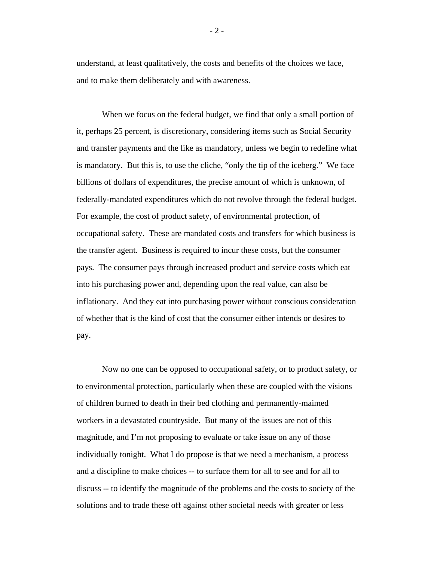understand, at least qualitatively, the costs and benefits of the choices we face, and to make them deliberately and with awareness.

 When we focus on the federal budget, we find that only a small portion of it, perhaps 25 percent, is discretionary, considering items such as Social Security and transfer payments and the like as mandatory, unless we begin to redefine what is mandatory. But this is, to use the cliche, "only the tip of the iceberg." We face billions of dollars of expenditures, the precise amount of which is unknown, of federally-mandated expenditures which do not revolve through the federal budget. For example, the cost of product safety, of environmental protection, of occupational safety. These are mandated costs and transfers for which business is the transfer agent. Business is required to incur these costs, but the consumer pays. The consumer pays through increased product and service costs which eat into his purchasing power and, depending upon the real value, can also be inflationary. And they eat into purchasing power without conscious consideration of whether that is the kind of cost that the consumer either intends or desires to pay.

 Now no one can be opposed to occupational safety, or to product safety, or to environmental protection, particularly when these are coupled with the visions of children burned to death in their bed clothing and permanently-maimed workers in a devastated countryside. But many of the issues are not of this magnitude, and I'm not proposing to evaluate or take issue on any of those individually tonight. What I do propose is that we need a mechanism, a process and a discipline to make choices -- to surface them for all to see and for all to discuss -- to identify the magnitude of the problems and the costs to society of the solutions and to trade these off against other societal needs with greater or less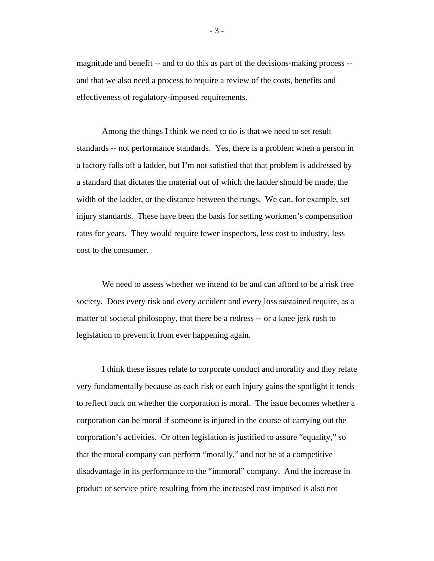magnitude and benefit -- and to do this as part of the decisions-making process - and that we also need a process to require a review of the costs, benefits and effectiveness of regulatory-imposed requirements.

 Among the things I think we need to do is that we need to set result standards -- not performance standards. Yes, there is a problem when a person in a factory falls off a ladder, but I'm not satisfied that that problem is addressed by a standard that dictates the material out of which the ladder should be made, the width of the ladder, or the distance between the rungs. We can, for example, set injury standards. These have been the basis for setting workmen's compensation rates for years. They would require fewer inspectors, less cost to industry, less cost to the consumer.

We need to assess whether we intend to be and can afford to be a risk free society. Does every risk and every accident and every loss sustained require, as a matter of societal philosophy, that there be a redress -- or a knee jerk rush to legislation to prevent it from ever happening again.

 I think these issues relate to corporate conduct and morality and they relate very fundamentally because as each risk or each injury gains the spotlight it tends to reflect back on whether the corporation is moral. The issue becomes whether a corporation can be moral if someone is injured in the course of carrying out the corporation's activities. Or often legislation is justified to assure "equality," so that the moral company can perform "morally," and not be at a competitive disadvantage in its performance to the "immoral" company. And the increase in product or service price resulting from the increased cost imposed is also not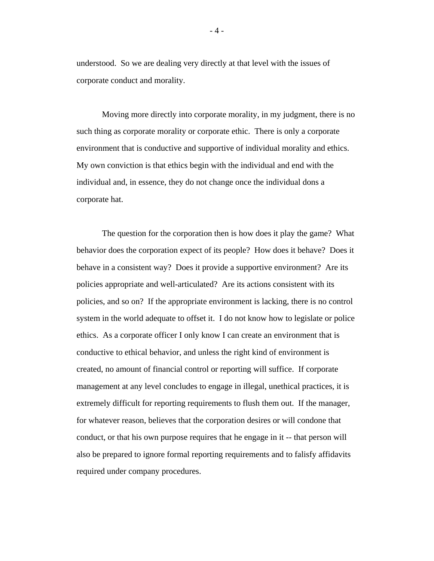understood. So we are dealing very directly at that level with the issues of corporate conduct and morality.

 Moving more directly into corporate morality, in my judgment, there is no such thing as corporate morality or corporate ethic. There is only a corporate environment that is conductive and supportive of individual morality and ethics. My own conviction is that ethics begin with the individual and end with the individual and, in essence, they do not change once the individual dons a corporate hat.

 The question for the corporation then is how does it play the game? What behavior does the corporation expect of its people? How does it behave? Does it behave in a consistent way? Does it provide a supportive environment? Are its policies appropriate and well-articulated? Are its actions consistent with its policies, and so on? If the appropriate environment is lacking, there is no control system in the world adequate to offset it. I do not know how to legislate or police ethics. As a corporate officer I only know I can create an environment that is conductive to ethical behavior, and unless the right kind of environment is created, no amount of financial control or reporting will suffice. If corporate management at any level concludes to engage in illegal, unethical practices, it is extremely difficult for reporting requirements to flush them out. If the manager, for whatever reason, believes that the corporation desires or will condone that conduct, or that his own purpose requires that he engage in it -- that person will also be prepared to ignore formal reporting requirements and to falisfy affidavits required under company procedures.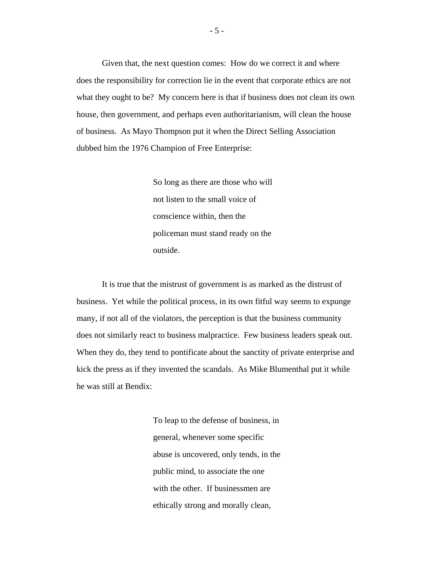Given that, the next question comes: How do we correct it and where does the responsibility for correction lie in the event that corporate ethics are not what they ought to be? My concern here is that if business does not clean its own house, then government, and perhaps even authoritarianism, will clean the house of business. As Mayo Thompson put it when the Direct Selling Association dubbed him the 1976 Champion of Free Enterprise:

> So long as there are those who will not listen to the small voice of conscience within, then the policeman must stand ready on the outside.

 It is true that the mistrust of government is as marked as the distrust of business. Yet while the political process, in its own fitful way seems to expunge many, if not all of the violators, the perception is that the business community does not similarly react to business malpractice. Few business leaders speak out. When they do, they tend to pontificate about the sanctity of private enterprise and kick the press as if they invented the scandals. As Mike Blumenthal put it while he was still at Bendix:

> To leap to the defense of business, in general, whenever some specific abuse is uncovered, only tends, in the public mind, to associate the one with the other. If businessmen are ethically strong and morally clean,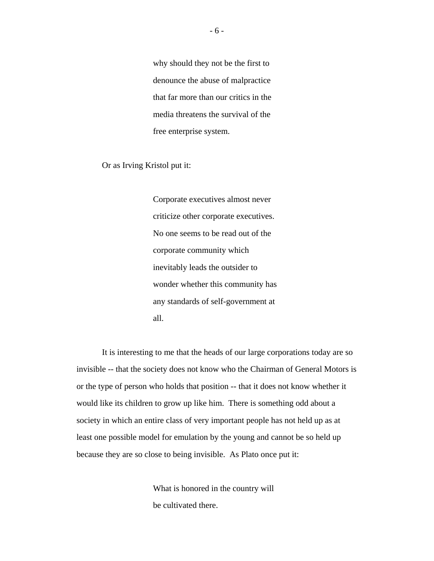why should they not be the first to denounce the abuse of malpractice that far more than our critics in the media threatens the survival of the free enterprise system.

Or as Irving Kristol put it:

Corporate executives almost never criticize other corporate executives. No one seems to be read out of the corporate community which inevitably leads the outsider to wonder whether this community has any standards of self-government at all.

It is interesting to me that the heads of our large corporations today are so invisible -- that the society does not know who the Chairman of General Motors is or the type of person who holds that position -- that it does not know whether it would like its children to grow up like him. There is something odd about a society in which an entire class of very important people has not held up as at least one possible model for emulation by the young and cannot be so held up because they are so close to being invisible. As Plato once put it:

> What is honored in the country will be cultivated there.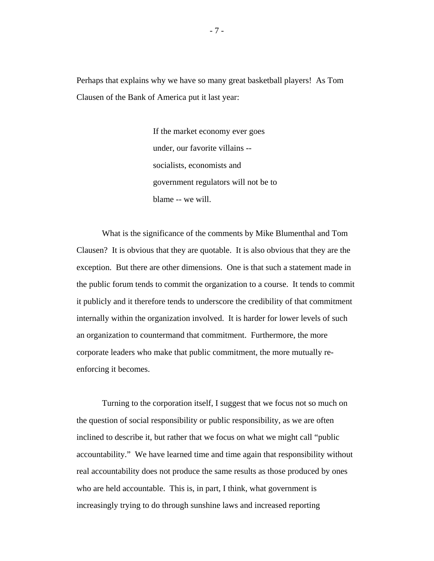Perhaps that explains why we have so many great basketball players! As Tom Clausen of the Bank of America put it last year:

> If the market economy ever goes under, our favorite villains - socialists, economists and government regulators will not be to blame -- we will.

 What is the significance of the comments by Mike Blumenthal and Tom Clausen? It is obvious that they are quotable. It is also obvious that they are the exception. But there are other dimensions. One is that such a statement made in the public forum tends to commit the organization to a course. It tends to commit it publicly and it therefore tends to underscore the credibility of that commitment internally within the organization involved. It is harder for lower levels of such an organization to countermand that commitment. Furthermore, the more corporate leaders who make that public commitment, the more mutually reenforcing it becomes.

 Turning to the corporation itself, I suggest that we focus not so much on the question of social responsibility or public responsibility, as we are often inclined to describe it, but rather that we focus on what we might call "public accountability." We have learned time and time again that responsibility without real accountability does not produce the same results as those produced by ones who are held accountable. This is, in part, I think, what government is increasingly trying to do through sunshine laws and increased reporting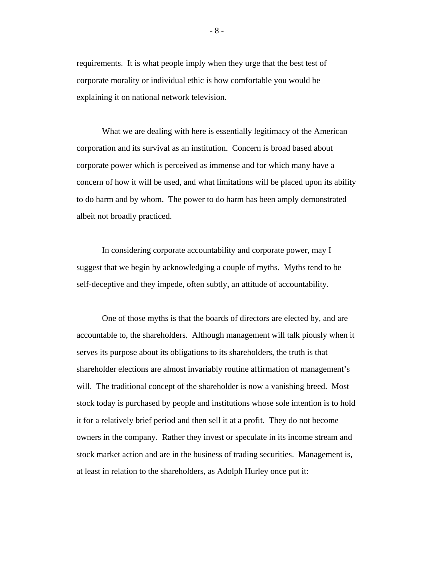requirements. It is what people imply when they urge that the best test of corporate morality or individual ethic is how comfortable you would be explaining it on national network television.

 What we are dealing with here is essentially legitimacy of the American corporation and its survival as an institution. Concern is broad based about corporate power which is perceived as immense and for which many have a concern of how it will be used, and what limitations will be placed upon its ability to do harm and by whom. The power to do harm has been amply demonstrated albeit not broadly practiced.

 In considering corporate accountability and corporate power, may I suggest that we begin by acknowledging a couple of myths. Myths tend to be self-deceptive and they impede, often subtly, an attitude of accountability.

 One of those myths is that the boards of directors are elected by, and are accountable to, the shareholders. Although management will talk piously when it serves its purpose about its obligations to its shareholders, the truth is that shareholder elections are almost invariably routine affirmation of management's will. The traditional concept of the shareholder is now a vanishing breed. Most stock today is purchased by people and institutions whose sole intention is to hold it for a relatively brief period and then sell it at a profit. They do not become owners in the company. Rather they invest or speculate in its income stream and stock market action and are in the business of trading securities. Management is, at least in relation to the shareholders, as Adolph Hurley once put it: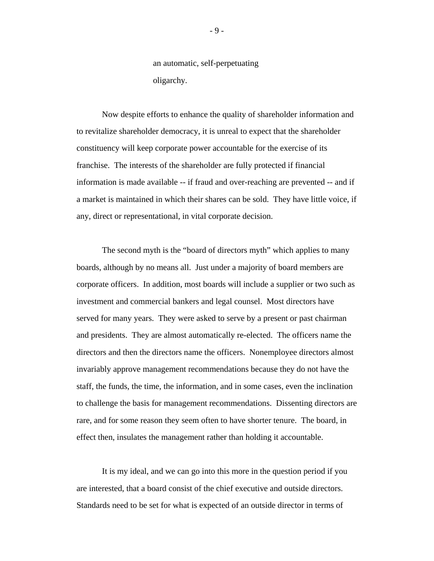an automatic, self-perpetuating oligarchy.

 Now despite efforts to enhance the quality of shareholder information and to revitalize shareholder democracy, it is unreal to expect that the shareholder constituency will keep corporate power accountable for the exercise of its franchise. The interests of the shareholder are fully protected if financial information is made available -- if fraud and over-reaching are prevented -- and if a market is maintained in which their shares can be sold. They have little voice, if any, direct or representational, in vital corporate decision.

 The second myth is the "board of directors myth" which applies to many boards, although by no means all. Just under a majority of board members are corporate officers. In addition, most boards will include a supplier or two such as investment and commercial bankers and legal counsel. Most directors have served for many years. They were asked to serve by a present or past chairman and presidents. They are almost automatically re-elected. The officers name the directors and then the directors name the officers. Nonemployee directors almost invariably approve management recommendations because they do not have the staff, the funds, the time, the information, and in some cases, even the inclination to challenge the basis for management recommendations. Dissenting directors are rare, and for some reason they seem often to have shorter tenure. The board, in effect then, insulates the management rather than holding it accountable.

 It is my ideal, and we can go into this more in the question period if you are interested, that a board consist of the chief executive and outside directors. Standards need to be set for what is expected of an outside director in terms of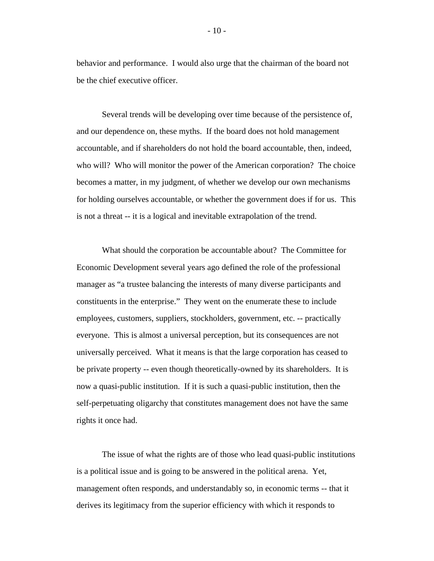behavior and performance. I would also urge that the chairman of the board not be the chief executive officer.

 Several trends will be developing over time because of the persistence of, and our dependence on, these myths. If the board does not hold management accountable, and if shareholders do not hold the board accountable, then, indeed, who will? Who will monitor the power of the American corporation? The choice becomes a matter, in my judgment, of whether we develop our own mechanisms for holding ourselves accountable, or whether the government does if for us. This is not a threat -- it is a logical and inevitable extrapolation of the trend.

 What should the corporation be accountable about? The Committee for Economic Development several years ago defined the role of the professional manager as "a trustee balancing the interests of many diverse participants and constituents in the enterprise." They went on the enumerate these to include employees, customers, suppliers, stockholders, government, etc. -- practically everyone. This is almost a universal perception, but its consequences are not universally perceived. What it means is that the large corporation has ceased to be private property -- even though theoretically-owned by its shareholders. It is now a quasi-public institution. If it is such a quasi-public institution, then the self-perpetuating oligarchy that constitutes management does not have the same rights it once had.

 The issue of what the rights are of those who lead quasi-public institutions is a political issue and is going to be answered in the political arena. Yet, management often responds, and understandably so, in economic terms -- that it derives its legitimacy from the superior efficiency with which it responds to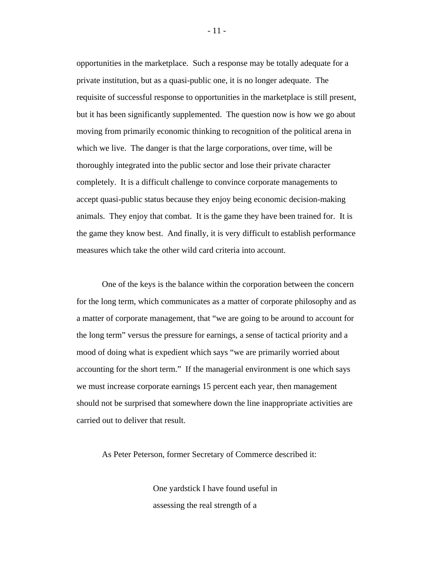opportunities in the marketplace. Such a response may be totally adequate for a private institution, but as a quasi-public one, it is no longer adequate. The requisite of successful response to opportunities in the marketplace is still present, but it has been significantly supplemented. The question now is how we go about moving from primarily economic thinking to recognition of the political arena in which we live. The danger is that the large corporations, over time, will be thoroughly integrated into the public sector and lose their private character completely. It is a difficult challenge to convince corporate managements to accept quasi-public status because they enjoy being economic decision-making animals. They enjoy that combat. It is the game they have been trained for. It is the game they know best. And finally, it is very difficult to establish performance measures which take the other wild card criteria into account.

 One of the keys is the balance within the corporation between the concern for the long term, which communicates as a matter of corporate philosophy and as a matter of corporate management, that "we are going to be around to account for the long term" versus the pressure for earnings, a sense of tactical priority and a mood of doing what is expedient which says "we are primarily worried about accounting for the short term." If the managerial environment is one which says we must increase corporate earnings 15 percent each year, then management should not be surprised that somewhere down the line inappropriate activities are carried out to deliver that result.

As Peter Peterson, former Secretary of Commerce described it:

One yardstick I have found useful in assessing the real strength of a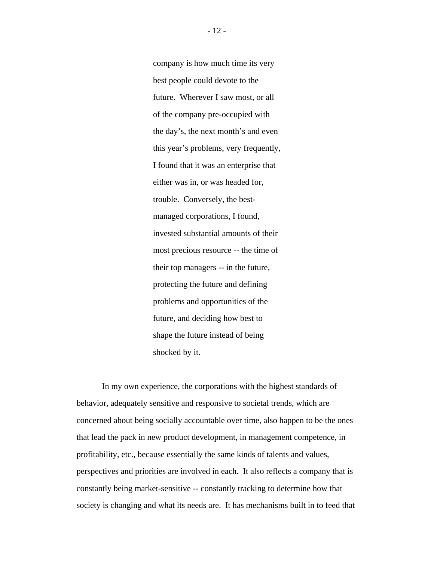company is how much time its very best people could devote to the future. Wherever I saw most, or all of the company pre-occupied with the day's, the next month's and even this year's problems, very frequently, I found that it was an enterprise that either was in, or was headed for, trouble. Conversely, the bestmanaged corporations, I found, invested substantial amounts of their most precious resource -- the time of their top managers -- in the future, protecting the future and defining problems and opportunities of the future, and deciding how best to shape the future instead of being shocked by it.

 In my own experience, the corporations with the highest standards of behavior, adequately sensitive and responsive to societal trends, which are concerned about being socially accountable over time, also happen to be the ones that lead the pack in new product development, in management competence, in profitability, etc., because essentially the same kinds of talents and values, perspectives and priorities are involved in each. It also reflects a company that is constantly being market-sensitive -- constantly tracking to determine how that society is changing and what its needs are. It has mechanisms built in to feed that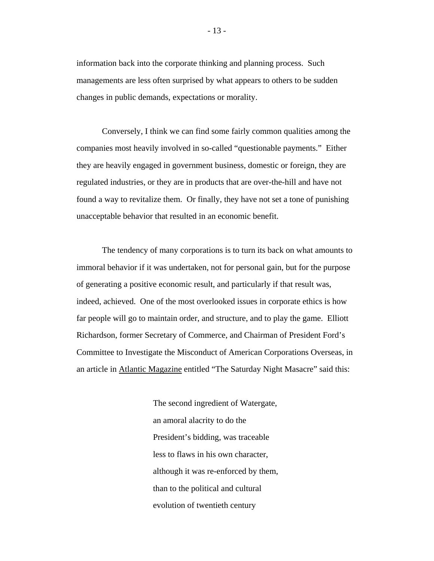information back into the corporate thinking and planning process. Such managements are less often surprised by what appears to others to be sudden changes in public demands, expectations or morality.

 Conversely, I think we can find some fairly common qualities among the companies most heavily involved in so-called "questionable payments." Either they are heavily engaged in government business, domestic or foreign, they are regulated industries, or they are in products that are over-the-hill and have not found a way to revitalize them. Or finally, they have not set a tone of punishing unacceptable behavior that resulted in an economic benefit.

 The tendency of many corporations is to turn its back on what amounts to immoral behavior if it was undertaken, not for personal gain, but for the purpose of generating a positive economic result, and particularly if that result was, indeed, achieved. One of the most overlooked issues in corporate ethics is how far people will go to maintain order, and structure, and to play the game. Elliott Richardson, former Secretary of Commerce, and Chairman of President Ford's Committee to Investigate the Misconduct of American Corporations Overseas, in an article in Atlantic Magazine entitled "The Saturday Night Masacre" said this:

> The second ingredient of Watergate, an amoral alacrity to do the President's bidding, was traceable less to flaws in his own character, although it was re-enforced by them, than to the political and cultural evolution of twentieth century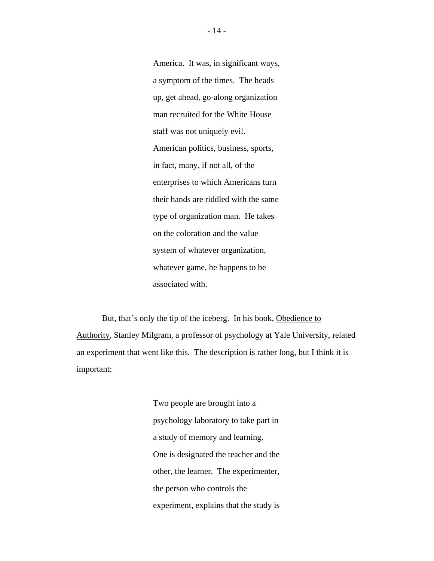America. It was, in significant ways, a symptom of the times. The heads up, get ahead, go-along organization man recruited for the White House staff was not uniquely evil. American politics, business, sports, in fact, many, if not all, of the enterprises to which Americans turn their hands are riddled with the same type of organization man. He takes on the coloration and the value system of whatever organization, whatever game, he happens to be associated with.

 But, that's only the tip of the iceberg. In his book, Obedience to Authority, Stanley Milgram, a professor of psychology at Yale University, related an experiment that went like this. The description is rather long, but I think it is important:

> Two people are brought into a psychology laboratory to take part in a study of memory and learning. One is designated the teacher and the other, the learner. The experimenter, the person who controls the experiment, explains that the study is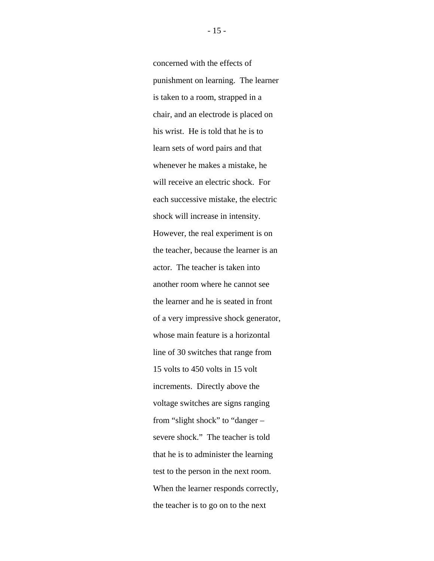concerned with the effects of punishment on learning. The learner is taken to a room, strapped in a chair, and an electrode is placed on his wrist. He is told that he is to learn sets of word pairs and that whenever he makes a mistake, he will receive an electric shock. For each successive mistake, the electric shock will increase in intensity. However, the real experiment is on the teacher, because the learner is an actor. The teacher is taken into another room where he cannot see the learner and he is seated in front of a very impressive shock generator, whose main feature is a horizontal line of 30 switches that range from 15 volts to 450 volts in 15 volt increments. Directly above the voltage switches are signs ranging from "slight shock" to "danger – severe shock." The teacher is told that he is to administer the learning test to the person in the next room. When the learner responds correctly, the teacher is to go on to the next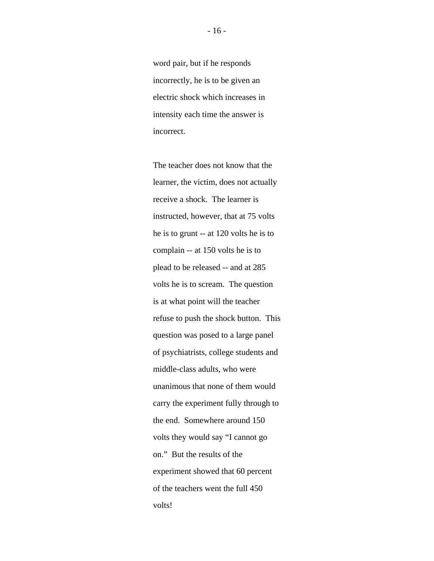word pair, but if he responds incorrectly, he is to be given an electric shock which increases in intensity each time the answer is incorrect.

The teacher does not know that the learner, the victim, does not actually receive a shock. The learner is instructed, however, that at 75 volts he is to grunt -- at 120 volts he is to complain -- at 150 volts he is to plead to be released -- and at 285 volts he is to scream. The question is at what point will the teacher refuse to push the shock button. This question was posed to a large panel of psychiatrists, college students and middle-class adults, who were unanimous that none of them would carry the experiment fully through to the end. Somewhere around 150 volts they would say "I cannot go on." But the results of the experiment showed that 60 percent of the teachers went the full 450 volts!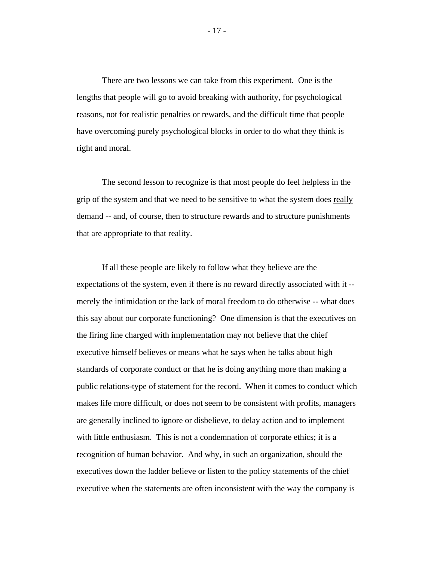There are two lessons we can take from this experiment. One is the lengths that people will go to avoid breaking with authority, for psychological reasons, not for realistic penalties or rewards, and the difficult time that people have overcoming purely psychological blocks in order to do what they think is right and moral.

 The second lesson to recognize is that most people do feel helpless in the grip of the system and that we need to be sensitive to what the system does really demand -- and, of course, then to structure rewards and to structure punishments that are appropriate to that reality.

 If all these people are likely to follow what they believe are the expectations of the system, even if there is no reward directly associated with it - merely the intimidation or the lack of moral freedom to do otherwise -- what does this say about our corporate functioning? One dimension is that the executives on the firing line charged with implementation may not believe that the chief executive himself believes or means what he says when he talks about high standards of corporate conduct or that he is doing anything more than making a public relations-type of statement for the record. When it comes to conduct which makes life more difficult, or does not seem to be consistent with profits, managers are generally inclined to ignore or disbelieve, to delay action and to implement with little enthusiasm. This is not a condemnation of corporate ethics; it is a recognition of human behavior. And why, in such an organization, should the executives down the ladder believe or listen to the policy statements of the chief executive when the statements are often inconsistent with the way the company is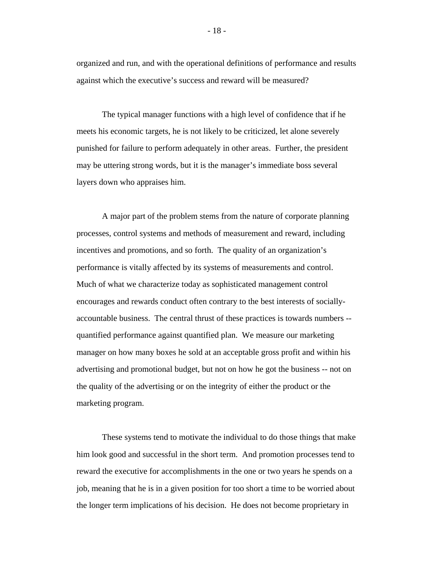organized and run, and with the operational definitions of performance and results against which the executive's success and reward will be measured?

 The typical manager functions with a high level of confidence that if he meets his economic targets, he is not likely to be criticized, let alone severely punished for failure to perform adequately in other areas. Further, the president may be uttering strong words, but it is the manager's immediate boss several layers down who appraises him.

 A major part of the problem stems from the nature of corporate planning processes, control systems and methods of measurement and reward, including incentives and promotions, and so forth. The quality of an organization's performance is vitally affected by its systems of measurements and control. Much of what we characterize today as sophisticated management control encourages and rewards conduct often contrary to the best interests of sociallyaccountable business. The central thrust of these practices is towards numbers - quantified performance against quantified plan. We measure our marketing manager on how many boxes he sold at an acceptable gross profit and within his advertising and promotional budget, but not on how he got the business -- not on the quality of the advertising or on the integrity of either the product or the marketing program.

 These systems tend to motivate the individual to do those things that make him look good and successful in the short term. And promotion processes tend to reward the executive for accomplishments in the one or two years he spends on a job, meaning that he is in a given position for too short a time to be worried about the longer term implications of his decision. He does not become proprietary in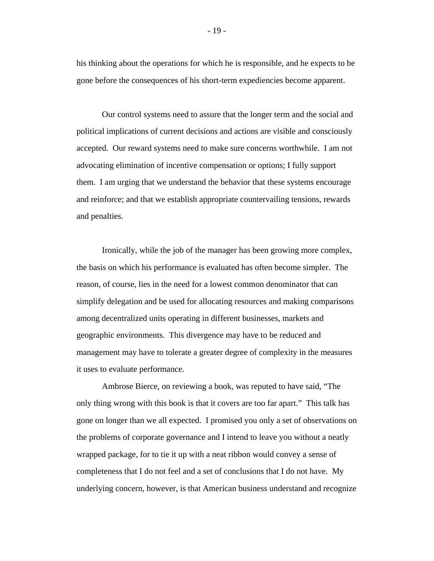his thinking about the operations for which he is responsible, and he expects to be gone before the consequences of his short-term expediencies become apparent.

 Our control systems need to assure that the longer term and the social and political implications of current decisions and actions are visible and consciously accepted. Our reward systems need to make sure concerns worthwhile. I am not advocating elimination of incentive compensation or options; I fully support them. I am urging that we understand the behavior that these systems encourage and reinforce; and that we establish appropriate countervailing tensions, rewards and penalties.

 Ironically, while the job of the manager has been growing more complex, the basis on which his performance is evaluated has often become simpler. The reason, of course, lies in the need for a lowest common denominator that can simplify delegation and be used for allocating resources and making comparisons among decentralized units operating in different businesses, markets and geographic environments. This divergence may have to be reduced and management may have to tolerate a greater degree of complexity in the measures it uses to evaluate performance.

 Ambrose Bierce, on reviewing a book, was reputed to have said, "The only thing wrong with this book is that it covers are too far apart." This talk has gone on longer than we all expected. I promised you only a set of observations on the problems of corporate governance and I intend to leave you without a neatly wrapped package, for to tie it up with a neat ribbon would convey a sense of completeness that I do not feel and a set of conclusions that I do not have. My underlying concern, however, is that American business understand and recognize